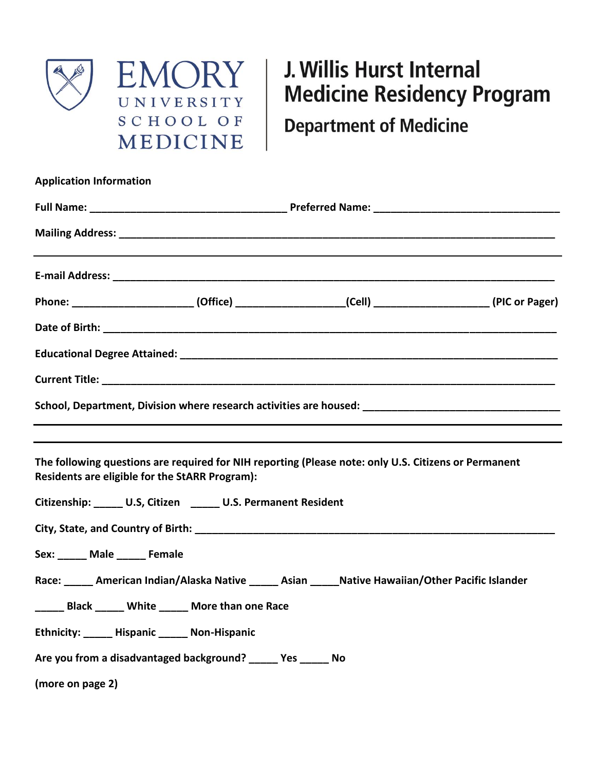

## J. Willis Hurst Internal **Medicine Residency Program**

**Department of Medicine** 

| <b>Application Information</b> |                                                               |                                                                                                         |  |  |  |
|--------------------------------|---------------------------------------------------------------|---------------------------------------------------------------------------------------------------------|--|--|--|
|                                |                                                               |                                                                                                         |  |  |  |
|                                |                                                               |                                                                                                         |  |  |  |
|                                |                                                               |                                                                                                         |  |  |  |
|                                |                                                               | Phone: _________________________(Office) ___________________(Cell) ______________________(PIC or Pager) |  |  |  |
|                                |                                                               |                                                                                                         |  |  |  |
|                                |                                                               |                                                                                                         |  |  |  |
|                                |                                                               |                                                                                                         |  |  |  |
|                                |                                                               | School, Department, Division where research activities are housed: _________________________________    |  |  |  |
|                                | Residents are eligible for the StARR Program):                | The following questions are required for NIH reporting (Please note: only U.S. Citizens or Permanent    |  |  |  |
|                                | Citizenship: _____ U.S, Citizen _____ U.S. Permanent Resident |                                                                                                         |  |  |  |
|                                |                                                               |                                                                                                         |  |  |  |
| Sex: ______ Male ______ Female |                                                               |                                                                                                         |  |  |  |
|                                |                                                               | Race: _____ American Indian/Alaska Native _____ Asian _____ Native Hawaiian/Other Pacific Islander      |  |  |  |
|                                | Black _____ White _____ More than one Race                    |                                                                                                         |  |  |  |
|                                | Ethnicity: Hispanic Non-Hispanic                              |                                                                                                         |  |  |  |
|                                | Are you from a disadvantaged background? ______ Yes ______ No |                                                                                                         |  |  |  |
| (more on page 2)               |                                                               |                                                                                                         |  |  |  |